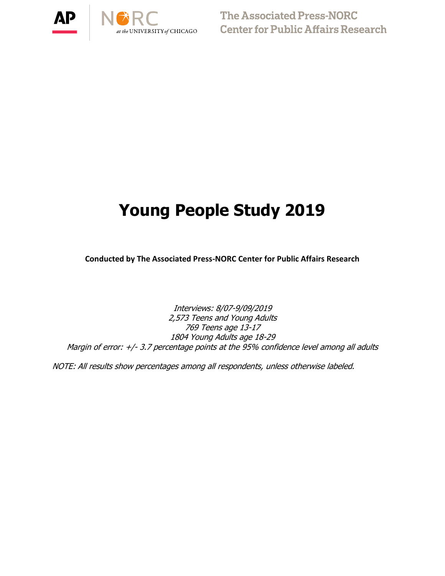



# **Young People Study 2019**

**Conducted by The Associated Press-NORC Center for Public Affairs Research**

Interviews: 8/07-9/09/2019 2,573 Teens and Young Adults 769 Teens age 13-17 1804 Young Adults age 18-29 Margin of error: +/- 3.7 percentage points at the 95% confidence level among all adults

NOTE: All results show percentages among all respondents, unless otherwise labeled.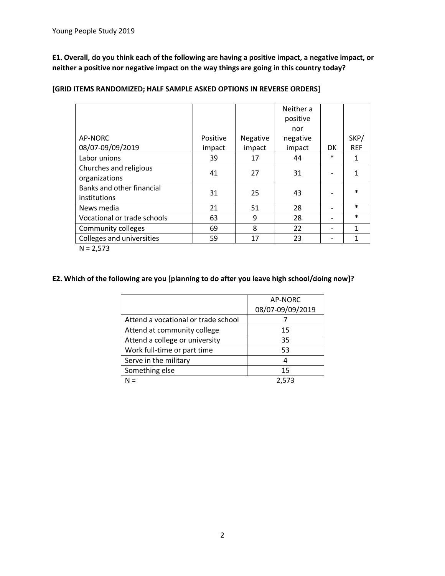**E1. Overall, do you think each of the following are having a positive impact, a negative impact, or neither a positive nor negative impact on the way things are going in this country today?**

|                             |          |          | Neither a |           |              |
|-----------------------------|----------|----------|-----------|-----------|--------------|
|                             |          |          | positive  |           |              |
|                             |          |          | nor       |           |              |
| AP-NORC                     | Positive | Negative | negative  |           | SKP/         |
| 08/07-09/09/2019            | impact   | impact   | impact    | <b>DK</b> | <b>REF</b>   |
| Labor unions                | 39       | 17       | 44        | $\ast$    | $\mathbf{1}$ |
| Churches and religious      | 41       | 27       | 31        |           | 1            |
| organizations               |          |          |           |           |              |
| Banks and other financial   | 31       | 25       | 43        |           | $\ast$       |
| institutions                |          |          |           |           |              |
| News media                  | 21       | 51       | 28        |           | $\ast$       |
| Vocational or trade schools | 63       | 9        | 28        |           | $\ast$       |
| Community colleges          | 69       | 8        | 22        |           | $\mathbf{1}$ |
| Colleges and universities   | 59       | 17       | 23        | -         | 1            |
| $N = 2,573$                 |          |          |           |           |              |

**[GRID ITEMS RANDOMIZED; HALF SAMPLE ASKED OPTIONS IN REVERSE ORDERS]**

#### **E2. Which of the following are you [planning to do after you leave high school/doing now]?**

|                                     | AP-NORC          |
|-------------------------------------|------------------|
|                                     | 08/07-09/09/2019 |
| Attend a vocational or trade school |                  |
| Attend at community college         | 15               |
| Attend a college or university      | 35               |
| Work full-time or part time         | 53               |
| Serve in the military               | 4                |
| Something else                      | 15               |
| N =                                 |                  |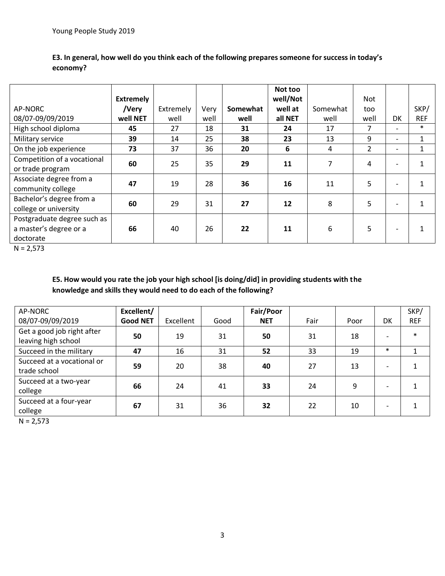|                                                                    | <b>Extremely</b> |           |      |          | Not too<br>well/Not |          | Not            |                          |              |
|--------------------------------------------------------------------|------------------|-----------|------|----------|---------------------|----------|----------------|--------------------------|--------------|
| AP-NORC                                                            | /Very            | Extremely | Very | Somewhat | well at             | Somewhat | too            |                          | SKP/         |
| 08/07-09/09/2019                                                   | well NET         | well      | well | well     | all NET             | well     | well           | DK                       | <b>REF</b>   |
| High school diploma                                                | 45               | 27        | 18   | 31       | 24                  | 17       | 7              | $\overline{\phantom{0}}$ | $\ast$       |
| Military service                                                   | 39               | 14        | 25   | 38       | 23                  | 13       | 9              | $\overline{\phantom{0}}$ | $\mathbf{1}$ |
| On the job experience                                              | 73               | 37        | 36   | 20       | 6                   | 4        | $\overline{2}$ | $\overline{\phantom{a}}$ | 1            |
| Competition of a vocational<br>or trade program                    | 60               | 25        | 35   | 29       | 11                  | 7        | 4              | $\overline{\phantom{0}}$ |              |
| Associate degree from a<br>community college                       | 47               | 19        | 28   | 36       | 16                  | 11       | 5              | $\overline{\phantom{a}}$ | 1            |
| Bachelor's degree from a<br>college or university                  | 60               | 29        | 31   | 27       | 12                  | 8        | 5              |                          |              |
| Postgraduate degree such as<br>a master's degree or a<br>doctorate | 66               | 40        | 26   | 22       | 11                  | 6        | 5              | $\overline{\phantom{a}}$ |              |

## **E3. In general, how well do you think each of the following prepares someone for success in today's economy?**

 $N = 2,573$ 

## **E5. How would you rate the job your high school [is doing/did] in providing students with the knowledge and skills they would need to do each of the following?**

| AP-NORC                                           | Excellent/      |           |      | Fair/Poor  |      |      |                          | SKP/       |
|---------------------------------------------------|-----------------|-----------|------|------------|------|------|--------------------------|------------|
| 08/07-09/09/2019                                  | <b>Good NET</b> | Excellent | Good | <b>NET</b> | Fair | Poor | DK                       | <b>REF</b> |
| Get a good job right after<br>leaving high school | 50              | 19        | 31   | 50         | 31   | 18   |                          | $\ast$     |
| Succeed in the military                           | 47              | 16        | 31   | 52         | 33   | 19   | $\ast$                   |            |
| Succeed at a vocational or<br>trade school        | 59              | 20        | 38   | 40         | 27   | 13   |                          |            |
| Succeed at a two-year<br>college                  | 66              | 24        | 41   | 33         | 24   | 9    |                          |            |
| Succeed at a four-year<br>college                 | 67              | 31        | 36   | 32         | 22   | 10   | $\overline{\phantom{0}}$ |            |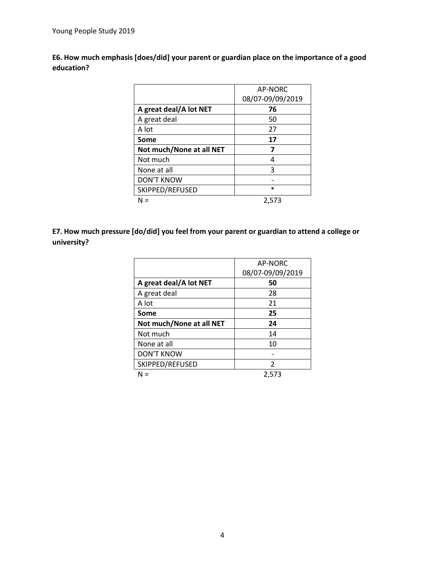**E6. How much emphasis [does/did] your parent or guardian place on the importance of a good education?**

|                          | AP-NORC          |
|--------------------------|------------------|
|                          | 08/07-09/09/2019 |
| A great deal/A lot NET   | 76               |
| A great deal             | 50               |
| A lot                    | 27               |
| Some                     | 17               |
| Not much/None at all NET | 7                |
| Not much                 | 4                |
| None at all              | 3                |
| <b>DON'T KNOW</b>        |                  |
| SKIPPED/REFUSED          | $\ast$           |
|                          | 2,573            |

**E7. How much pressure [do/did] you feel from your parent or guardian to attend a college or university?**

|                          | AP-NORC          |
|--------------------------|------------------|
|                          | 08/07-09/09/2019 |
| A great deal/A lot NET   | 50               |
| A great deal             | 28               |
| A lot                    | 21               |
| Some                     | 25               |
| Not much/None at all NET | 24               |
| Not much                 | 14               |
| None at all              | 10               |
| DON'T KNOW               |                  |
| SKIPPED/REFUSED          | $\mathfrak{p}$   |
| N =                      | 2,573            |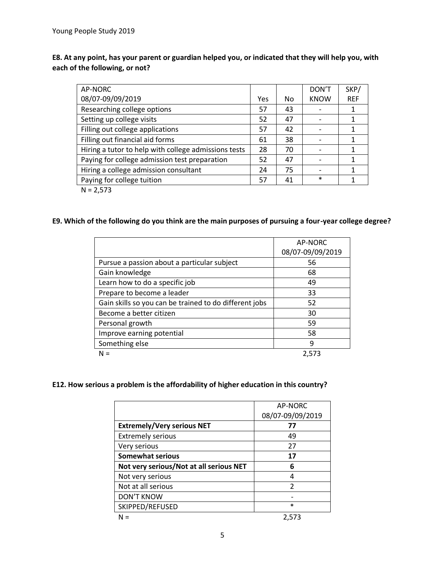**E8. At any point, has your parent or guardian helped you, or indicated that they will help you, with each of the following, or not?**

| AP-NORC                                              |     |    | DON'T       | SKP/       |
|------------------------------------------------------|-----|----|-------------|------------|
| 08/07-09/09/2019                                     | Yes | No | <b>KNOW</b> | <b>REF</b> |
| Researching college options                          | 57  | 43 |             |            |
| Setting up college visits                            | 52  | 47 |             |            |
| Filling out college applications                     | 57  | 42 |             |            |
| Filling out financial aid forms                      | 61  | 38 |             |            |
| Hiring a tutor to help with college admissions tests | 28  | 70 |             | 1          |
| Paying for college admission test preparation        | 52  | 47 |             |            |
| Hiring a college admission consultant                | 24  | 75 |             |            |
| Paying for college tuition                           | 57  | 41 | $\ast$      |            |
| $\cdots$ $\sim$ $\sim$ $\sim$                        |     |    |             |            |

 $N = 2,573$ 

## **E9. Which of the following do you think are the main purposes of pursuing a four-year college degree?**

|                                                        | AP-NORC          |
|--------------------------------------------------------|------------------|
|                                                        | 08/07-09/09/2019 |
| Pursue a passion about a particular subject            | 56               |
| Gain knowledge                                         | 68               |
| Learn how to do a specific job                         | 49               |
| Prepare to become a leader                             | 33               |
| Gain skills so you can be trained to do different jobs | 52               |
| Become a better citizen                                | 30               |
| Personal growth                                        | 59               |
| Improve earning potential                              | 58               |
| Something else                                         | 9                |
| N =                                                    | 2,573            |

## **E12. How serious a problem is the affordability of higher education in this country?**

|                                         | AP-NORC<br>08/07-09/09/2019 |
|-----------------------------------------|-----------------------------|
| <b>Extremely/Very serious NET</b>       | 77                          |
| <b>Extremely serious</b>                | 49                          |
| Very serious                            | 27                          |
| Somewhat serious                        | 17                          |
| Not very serious/Not at all serious NET | 6                           |
| Not very serious                        |                             |
| Not at all serious                      | $\mathfrak z$               |
| <b>DON'T KNOW</b>                       |                             |
| SKIPPED/REFUSED                         | $\star$                     |
|                                         | 2.573                       |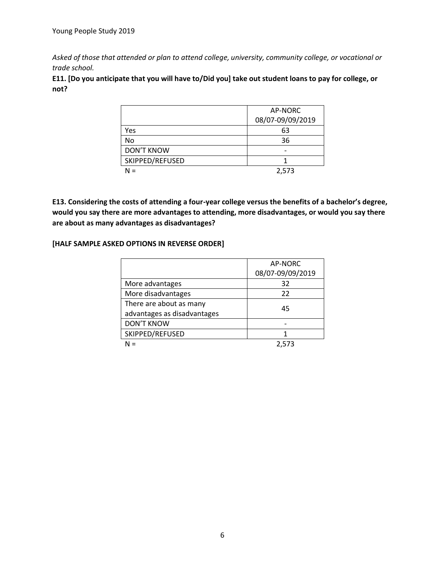*Asked of those that attended or plan to attend college, university, community college, or vocational or trade school.*

**E11. [Do you anticipate that you will have to/Did you] take out student loans to pay for college, or not?**

|                   | AP-NORC          |
|-------------------|------------------|
|                   | 08/07-09/09/2019 |
| Yes               | 63               |
| No                | 36               |
| <b>DON'T KNOW</b> |                  |
| SKIPPED/REFUSED   |                  |
| $\equiv$          | 2,573            |

**E13. Considering the costs of attending a four-year college versus the benefits of a bachelor's degree, would you say there are more advantages to attending, more disadvantages, or would you say there are about as many advantages as disadvantages?**

#### **[HALF SAMPLE ASKED OPTIONS IN REVERSE ORDER]**

|                             | AP-NORC          |
|-----------------------------|------------------|
|                             | 08/07-09/09/2019 |
| More advantages             | 32               |
| More disadvantages          | 22               |
| There are about as many     | 45               |
| advantages as disadvantages |                  |
| <b>DON'T KNOW</b>           |                  |
| SKIPPED/REFUSED             |                  |
|                             | 2.573            |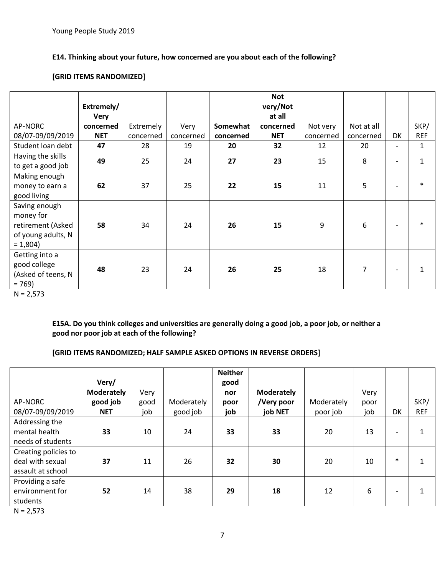## **E14. Thinking about your future, how concerned are you about each of the following?**

#### **[GRID ITEMS RANDOMIZED]**

|                                                                                    | Extremely/<br><b>Very</b> |           |           |           | <b>Not</b><br>very/Not<br>at all |           |                |                          |              |
|------------------------------------------------------------------------------------|---------------------------|-----------|-----------|-----------|----------------------------------|-----------|----------------|--------------------------|--------------|
| AP-NORC                                                                            | concerned                 | Extremely | Very      | Somewhat  | concerned                        | Not very  | Not at all     |                          | SKP/         |
| 08/07-09/09/2019                                                                   | <b>NET</b>                | concerned | concerned | concerned | <b>NET</b>                       | concerned | concerned      | DK                       | <b>REF</b>   |
| Student loan debt                                                                  | 47                        | 28        | 19        | 20        | 32                               | 12        | 20             | $\overline{\phantom{0}}$ | $\mathbf{1}$ |
| Having the skills<br>to get a good job                                             | 49                        | 25        | 24        | 27        | 23                               | 15        | 8              | $\overline{\phantom{a}}$ | $\mathbf{1}$ |
| Making enough<br>money to earn a<br>good living                                    | 62                        | 37        | 25        | 22        | 15                               | 11        | 5              | $\overline{\phantom{0}}$ | $\ast$       |
| Saving enough<br>money for<br>retirement (Asked<br>of young adults, N<br>$= 1,804$ | 58                        | 34        | 24        | 26        | 15                               | 9         | 6              | $\overline{\phantom{a}}$ | $\ast$       |
| Getting into a<br>good college<br>(Asked of teens, N<br>$= 769$                    | 48                        | 23        | 24        | 26        | 25                               | 18        | $\overline{7}$ | $\overline{\phantom{a}}$ | $\mathbf{1}$ |

 $N = 2,573$ 

**E15A. Do you think colleges and universities are generally doing a good job, a poor job, or neither a good nor poor job at each of the following?**

## **[GRID ITEMS RANDOMIZED; HALF SAMPLE ASKED OPTIONS IN REVERSE ORDERS]**

|                                                               | Very/<br><b>Moderately</b> | Very |            | <b>Neither</b><br>good<br>nor | <b>Moderately</b> |            | Very |                          |              |
|---------------------------------------------------------------|----------------------------|------|------------|-------------------------------|-------------------|------------|------|--------------------------|--------------|
| AP-NORC                                                       | good job                   | good | Moderately | poor                          | /Very poor        | Moderately | poor |                          | SKP/         |
| 08/07-09/09/2019                                              | <b>NET</b>                 | job  | good job   | job                           | job NET           | poor job   | job  | DK                       | <b>REF</b>   |
| Addressing the<br>mental health<br>needs of students          | 33                         | 10   | 24         | 33                            | 33                | 20         | 13   | $\overline{\phantom{a}}$ | $\mathbf{1}$ |
| Creating policies to<br>deal with sexual<br>assault at school | 37                         | 11   | 26         | 32                            | 30                | 20         | 10   | $\ast$                   | 1            |
| Providing a safe<br>environment for<br>students               | 52                         | 14   | 38         | 29                            | 18                | 12         | 6    | $\overline{\phantom{a}}$ | 1            |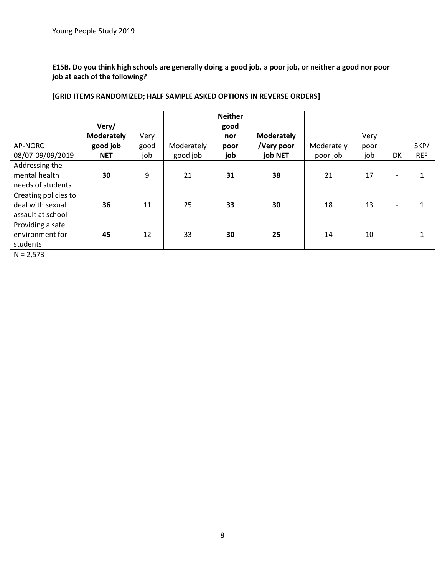**E15B. Do you think high schools are generally doing a good job, a poor job, or neither a good nor poor job at each of the following?**

## **[GRID ITEMS RANDOMIZED; HALF SAMPLE ASKED OPTIONS IN REVERSE ORDERS]**

|                                        |                   |      |            | <b>Neither</b> |                   |            |      |                              |            |
|----------------------------------------|-------------------|------|------------|----------------|-------------------|------------|------|------------------------------|------------|
|                                        | Very/             |      |            | good           |                   |            |      |                              |            |
|                                        | <b>Moderately</b> | Very |            | nor            | <b>Moderately</b> |            | Very |                              |            |
| AP-NORC                                | good job          | good | Moderately | poor           | /Very poor        | Moderately | poor |                              | SKP/       |
| 08/07-09/09/2019                       | <b>NET</b>        | job  | good job   | job            | job NET           | poor job   | job  | DK                           | <b>REF</b> |
| Addressing the                         |                   |      |            |                |                   |            |      |                              |            |
| mental health                          | 30                | 9    | 21         | 31             | 38                | 21         | 17   | $\overline{\phantom{0}}$     | 1          |
| needs of students                      |                   |      |            |                |                   |            |      |                              |            |
| Creating policies to                   |                   |      |            |                |                   |            |      |                              |            |
| deal with sexual                       | 36                | 11   | 25         | 33             | 30                | 18         | 13   | $\overline{\phantom{0}}$     | 1          |
| assault at school                      |                   |      |            |                |                   |            |      |                              |            |
| Providing a safe                       |                   |      |            |                |                   |            |      |                              |            |
| environment for                        | 45                | 12   | 33         | 30             | 25                | 14         | 10   | $\qquad \qquad \blacksquare$ | 1          |
| students                               |                   |      |            |                |                   |            |      |                              |            |
| $\mathbf{v}$ $\mathbf{v}$ $\mathbf{v}$ |                   |      |            |                |                   |            |      |                              |            |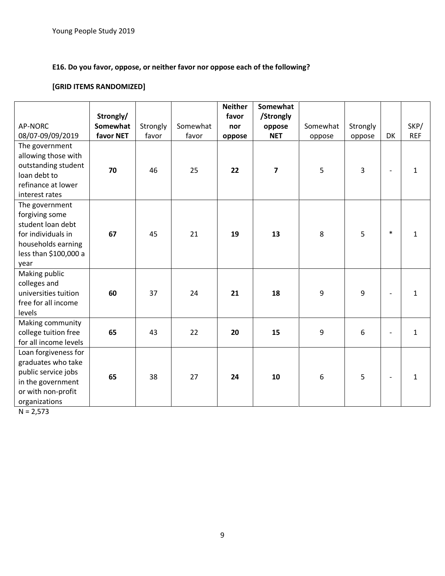# **E16. Do you favor, oppose, or neither favor nor oppose each of the following?**

# **[GRID ITEMS RANDOMIZED]**

|                       |                 |          |          | <b>Neither</b> | Somewhat       |          |          |                          |            |
|-----------------------|-----------------|----------|----------|----------------|----------------|----------|----------|--------------------------|------------|
|                       | Strongly/       |          |          | favor          | /Strongly      |          |          |                          |            |
| <b>AP-NORC</b>        | <b>Somewhat</b> | Strongly | Somewhat | nor            | oppose         | Somewhat | Strongly |                          | SKP/       |
| 08/07-09/09/2019      | favor NET       | favor    | favor    | oppose         | <b>NET</b>     | oppose   | oppose   | DK                       | <b>REF</b> |
| The government        |                 |          |          |                |                |          |          |                          |            |
| allowing those with   |                 |          |          |                |                |          |          |                          |            |
| outstanding student   | 70              | 46       | 25       | 22             | $\overline{7}$ | 5        | 3        |                          | 1          |
| loan debt to          |                 |          |          |                |                |          |          |                          |            |
| refinance at lower    |                 |          |          |                |                |          |          |                          |            |
| interest rates        |                 |          |          |                |                |          |          |                          |            |
| The government        |                 |          |          |                |                |          |          |                          |            |
| forgiving some        |                 |          |          |                |                |          |          |                          |            |
| student loan debt     |                 |          |          |                |                |          |          |                          |            |
| for individuals in    | 67              | 45       | 21       | 19             | 13             | 8        | 5        | $\ast$                   | 1          |
| households earning    |                 |          |          |                |                |          |          |                          |            |
| less than \$100,000 a |                 |          |          |                |                |          |          |                          |            |
| year                  |                 |          |          |                |                |          |          |                          |            |
| Making public         |                 |          |          |                |                |          |          |                          |            |
| colleges and          |                 |          |          |                |                |          |          |                          |            |
| universities tuition  | 60              | 37       | 24       | 21             | 18             | 9        | 9        |                          | 1          |
| free for all income   |                 |          |          |                |                |          |          |                          |            |
| levels                |                 |          |          |                |                |          |          |                          |            |
| Making community      |                 |          |          |                |                |          |          |                          |            |
| college tuition free  | 65              | 43       | 22       | 20             | 15             | 9        | 6        | $\overline{\phantom{a}}$ | 1          |
| for all income levels |                 |          |          |                |                |          |          |                          |            |
| Loan forgiveness for  |                 |          |          |                |                |          |          |                          |            |
| graduates who take    |                 |          |          |                |                |          |          |                          |            |
| public service jobs   | 65              | 38       | 27       | 24             | 10             | 6        | 5        |                          | 1          |
| in the government     |                 |          |          |                |                |          |          |                          |            |
| or with non-profit    |                 |          |          |                |                |          |          |                          |            |
| organizations         |                 |          |          |                |                |          |          |                          |            |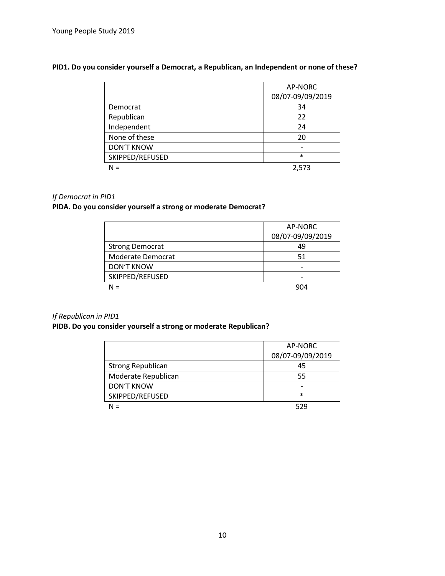#### **PID1. Do you consider yourself a Democrat, a Republican, an Independent or none of these?**

|                   | AP-NORC          |
|-------------------|------------------|
|                   | 08/07-09/09/2019 |
| Democrat          | 34               |
| Republican        | 22               |
| Independent       | 24               |
| None of these     | 20               |
| <b>DON'T KNOW</b> |                  |
| SKIPPED/REFUSED   | $\ast$           |
| $N =$             | 2.573            |

#### *If Democrat in PID1*

## **PIDA. Do you consider yourself a strong or moderate Democrat?**

|                        | AP-NORC<br>08/07-09/09/2019 |
|------------------------|-----------------------------|
| <b>Strong Democrat</b> | 49                          |
| Moderate Democrat      | 51                          |
| <b>DON'T KNOW</b>      |                             |
| SKIPPED/REFUSED        |                             |
|                        | 904                         |

#### *If Republican in PID1*

## **PIDB. Do you consider yourself a strong or moderate Republican?**

|                          | AP-NORC          |
|--------------------------|------------------|
|                          | 08/07-09/09/2019 |
| <b>Strong Republican</b> | 45               |
| Moderate Republican      | 55               |
| <b>DON'T KNOW</b>        |                  |
| SKIPPED/REFUSED          | $\ast$           |
| N =                      | 529              |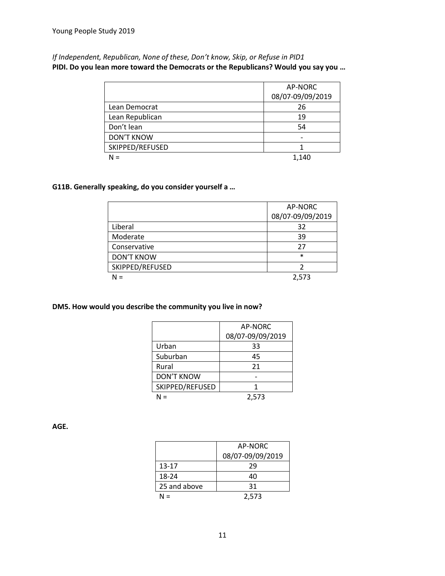*If Independent, Republican, None of these, Don't know, Skip, or Refuse in PID1* **PIDI. Do you lean more toward the Democrats or the Republicans? Would you say you …**

|                   | AP-NORC          |
|-------------------|------------------|
|                   | 08/07-09/09/2019 |
| Lean Democrat     | 26               |
| Lean Republican   | 19               |
| Don't lean        | 54               |
| <b>DON'T KNOW</b> |                  |
| SKIPPED/REFUSED   |                  |
| $N =$             | 1,140            |

#### **G11B. Generally speaking, do you consider yourself a …**

|                   | AP-NORC          |
|-------------------|------------------|
|                   | 08/07-09/09/2019 |
| Liberal           | 32               |
| Moderate          | 39               |
| Conservative      | 27               |
| <b>DON'T KNOW</b> | $\ast$           |
| SKIPPED/REFUSED   |                  |
| $N =$             | 2,573            |

#### **DM5. How would you describe the community you live in now?**

|                   | <b>AP-NORC</b>   |
|-------------------|------------------|
|                   | 08/07-09/09/2019 |
| Urban             | 33               |
| Suburban          | 45               |
| Rural             | 21               |
| <b>DON'T KNOW</b> |                  |
| SKIPPED/REFUSED   |                  |
| J =               | 2,573            |

**AGE.** 

|              | AP-NORC          |
|--------------|------------------|
|              | 08/07-09/09/2019 |
| $13 - 17$    | 29               |
| 18-24        | 40               |
| 25 and above | 31               |
| N =          | 2,573            |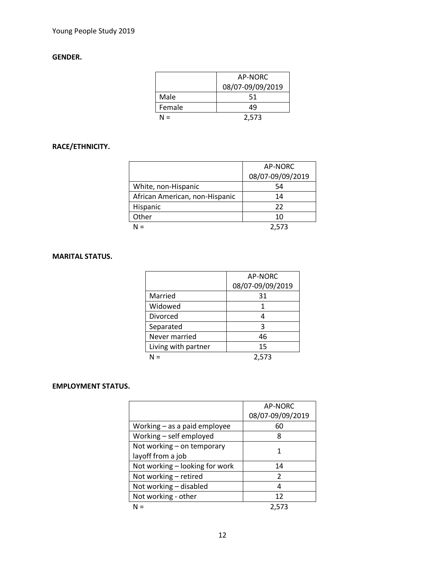## **GENDER.**

|        | AP-NORC          |
|--------|------------------|
|        | 08/07-09/09/2019 |
| Male   | 51               |
| Female | 49               |
| N =    | 2,573            |

# **RACE/ETHNICITY.**

|                                | AP-NORC          |
|--------------------------------|------------------|
|                                | 08/07-09/09/2019 |
| White, non-Hispanic            | 54               |
| African American, non-Hispanic | 14               |
| Hispanic                       | 22               |
| Other                          | 10               |
| $N =$                          | 2.573            |

#### **MARITAL STATUS.**

|                     | AP-NORC          |
|---------------------|------------------|
|                     | 08/07-09/09/2019 |
| Married             | 31               |
| Widowed             |                  |
| Divorced            |                  |
| Separated           | 3                |
| Never married       | 46               |
| Living with partner | 15               |
|                     | 2,573            |

#### **EMPLOYMENT STATUS.**

|                                | AP-NORC          |
|--------------------------------|------------------|
|                                | 08/07-09/09/2019 |
| Working - as a paid employee   | 60               |
| Working - self employed        | 8                |
| Not working - on temporary     | 1                |
| layoff from a job              |                  |
| Not working - looking for work | 14               |
| Not working - retired          | $\mathcal{P}$    |
| Not working - disabled         | 4                |
| Not working - other            | 12               |
| N =                            | 2.573            |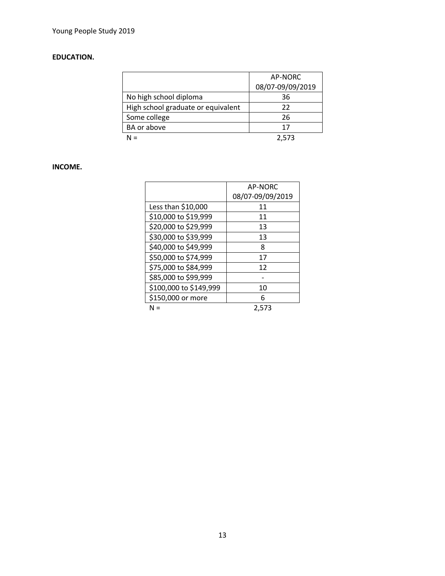# **EDUCATION.**

|                                    | AP-NORC          |
|------------------------------------|------------------|
|                                    | 08/07-09/09/2019 |
| No high school diploma             | 36               |
| High school graduate or equivalent | 22               |
| Some college                       | 26               |
| BA or above                        | 17               |
|                                    | 2.573            |

# **INCOME.**

|                        | <b>AP-NORC</b>   |
|------------------------|------------------|
|                        | 08/07-09/09/2019 |
| Less than \$10,000     | 11               |
| \$10,000 to \$19,999   | 11               |
| \$20,000 to \$29,999   | 13               |
| \$30,000 to \$39,999   | 13               |
| \$40,000 to \$49,999   | 8                |
| \$50,000 to \$74,999   | 17               |
| \$75,000 to \$84,999   | 12               |
| \$85,000 to \$99,999   |                  |
| \$100,000 to \$149,999 | 10               |
| \$150,000 or more      | 6                |
| N =                    | 2.573            |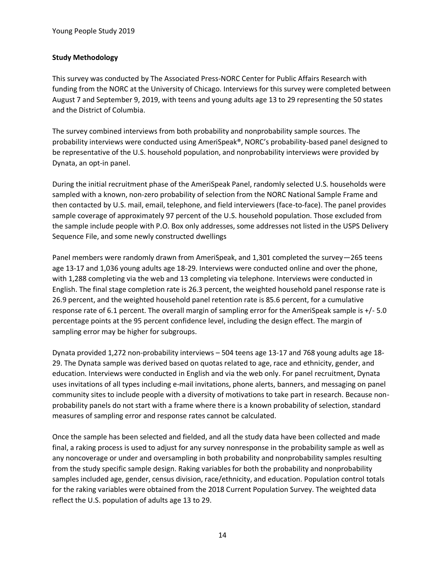#### **Study Methodology**

This survey was conducted by The Associated Press-NORC Center for Public Affairs Research with funding from the NORC at the University of Chicago. Interviews for this survey were completed between August 7 and September 9, 2019, with teens and young adults age 13 to 29 representing the 50 states and the District of Columbia.

The survey combined interviews from both probability and nonprobability sample sources. The probability interviews were conducted using AmeriSpeak®, NORC's probability-based panel designed to be representative of the U.S. household population, and nonprobability interviews were provided by Dynata, an opt-in panel.

During the initial recruitment phase of the AmeriSpeak Panel, randomly selected U.S. households were sampled with a known, non-zero probability of selection from the NORC National Sample Frame and then contacted by U.S. mail, email, telephone, and field interviewers (face-to-face). The panel provides sample coverage of approximately 97 percent of the U.S. household population. Those excluded from the sample include people with P.O. Box only addresses, some addresses not listed in the USPS Delivery Sequence File, and some newly constructed dwellings

Panel members were randomly drawn from AmeriSpeak, and 1,301 completed the survey—265 teens age 13-17 and 1,036 young adults age 18-29. Interviews were conducted online and over the phone, with 1,288 completing via the web and 13 completing via telephone. Interviews were conducted in English. The final stage completion rate is 26.3 percent, the weighted household panel response rate is 26.9 percent, and the weighted household panel retention rate is 85.6 percent, for a cumulative response rate of 6.1 percent. The overall margin of sampling error for the AmeriSpeak sample is +/- 5.0 percentage points at the 95 percent confidence level, including the design effect. The margin of sampling error may be higher for subgroups.

Dynata provided 1,272 non-probability interviews – 504 teens age 13-17 and 768 young adults age 18- 29. The Dynata sample was derived based on quotas related to age, race and ethnicity, gender, and education. Interviews were conducted in English and via the web only. For panel recruitment, Dynata uses invitations of all types including e-mail invitations, phone alerts, banners, and messaging on panel community sites to include people with a diversity of motivations to take part in research. Because nonprobability panels do not start with a frame where there is a known probability of selection, standard measures of sampling error and response rates cannot be calculated.

Once the sample has been selected and fielded, and all the study data have been collected and made final, a raking process is used to adjust for any survey nonresponse in the probability sample as well as any noncoverage or under and oversampling in both probability and nonprobability samples resulting from the study specific sample design. Raking variables for both the probability and nonprobability samples included age, gender, census division, race/ethnicity, and education. Population control totals for the raking variables were obtained from the 2018 Current Population Survey. The weighted data reflect the U.S. population of adults age 13 to 29.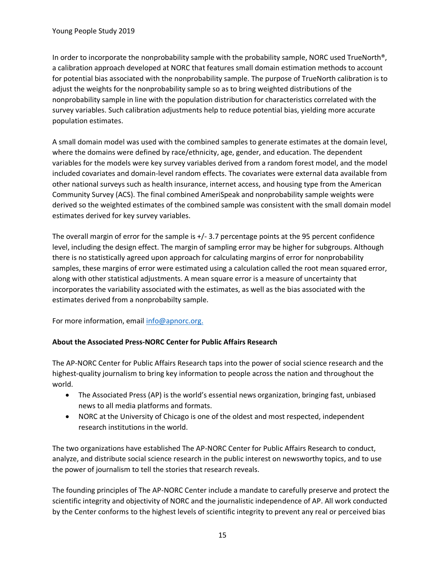In order to incorporate the nonprobability sample with the probability sample, NORC used TrueNorth®, a calibration approach developed at NORC that features small domain estimation methods to account for potential bias associated with the nonprobability sample. The purpose of TrueNorth calibration is to adjust the weights for the nonprobability sample so as to bring weighted distributions of the nonprobability sample in line with the population distribution for characteristics correlated with the survey variables. Such calibration adjustments help to reduce potential bias, yielding more accurate population estimates.

A small domain model was used with the combined samples to generate estimates at the domain level, where the domains were defined by race/ethnicity, age, gender, and education. The dependent variables for the models were key survey variables derived from a random forest model, and the model included covariates and domain-level random effects. The covariates were external data available from other national surveys such as health insurance, internet access, and housing type from the American Community Survey (ACS). The final combined AmeriSpeak and nonprobability sample weights were derived so the weighted estimates of the combined sample was consistent with the small domain model estimates derived for key survey variables.

The overall margin of error for the sample is +/- 3.7 percentage points at the 95 percent confidence level, including the design effect. The margin of sampling error may be higher for subgroups. Although there is no statistically agreed upon approach for calculating margins of error for nonprobability samples, these margins of error were estimated using a calculation called the root mean squared error, along with other statistical adjustments. A mean square error is a measure of uncertainty that incorporates the variability associated with the estimates, as well as the bias associated with the estimates derived from a nonprobabilty sample.

For more information, email<info@apnorc.org.>

#### **About the Associated Press-NORC Center for Public Affairs Research**

The AP-NORC Center for Public Affairs Research taps into the power of social science research and the highest-quality journalism to bring key information to people across the nation and throughout the world.

- The Associated Press (AP) is the world's essential news organization, bringing fast, unbiased news to all media platforms and formats.
- NORC at the University of Chicago is one of the oldest and most respected, independent research institutions in the world.

The two organizations have established The AP-NORC Center for Public Affairs Research to conduct, analyze, and distribute social science research in the public interest on newsworthy topics, and to use the power of journalism to tell the stories that research reveals.

The founding principles of The AP-NORC Center include a mandate to carefully preserve and protect the scientific integrity and objectivity of NORC and the journalistic independence of AP. All work conducted by the Center conforms to the highest levels of scientific integrity to prevent any real or perceived bias